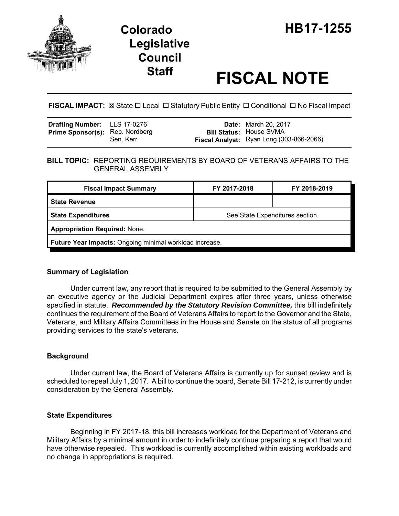

# **Legislative Council**

# **Staff FISCAL NOTE**

# **FISCAL IMPACT:** ⊠ State □ Local □ Statutory Public Entity □ Conditional □ No Fiscal Impact

| <b>Drafting Number:</b> LLS 17-0276    |           | <b>Date:</b> March 20, 2017                                                |
|----------------------------------------|-----------|----------------------------------------------------------------------------|
| <b>Prime Sponsor(s): Rep. Nordberg</b> | Sen. Kerr | <b>Bill Status: House SVMA</b><br>Fiscal Analyst: Ryan Long (303-866-2066) |

### **BILL TOPIC:** REPORTING REQUIREMENTS BY BOARD OF VETERANS AFFAIRS TO THE GENERAL ASSEMBLY

| <b>Fiscal Impact Summary</b>                            | FY 2017-2018                    | FY 2018-2019 |  |  |
|---------------------------------------------------------|---------------------------------|--------------|--|--|
| <b>State Revenue</b>                                    |                                 |              |  |  |
| <b>State Expenditures</b>                               | See State Expenditures section. |              |  |  |
| <b>Appropriation Required: None.</b>                    |                                 |              |  |  |
| Future Year Impacts: Ongoing minimal workload increase. |                                 |              |  |  |

# **Summary of Legislation**

Under current law, any report that is required to be submitted to the General Assembly by an executive agency or the Judicial Department expires after three years, unless otherwise specified in statute. *Recommended by the Statutory Revision Committee,* this bill indefinitely continues the requirement of the Board of Veterans Affairs to report to the Governor and the State, Veterans, and Military Affairs Committees in the House and Senate on the status of all programs providing services to the state's veterans.

# **Background**

Under current law, the Board of Veterans Affairs is currently up for sunset review and is scheduled to repeal July 1, 2017. A bill to continue the board, Senate Bill 17-212, is currently under consideration by the General Assembly.

### **State Expenditures**

Beginning in FY 2017-18, this bill increases workload for the Department of Veterans and Military Affairs by a minimal amount in order to indefinitely continue preparing a report that would have otherwise repealed. This workload is currently accomplished within existing workloads and no change in appropriations is required.